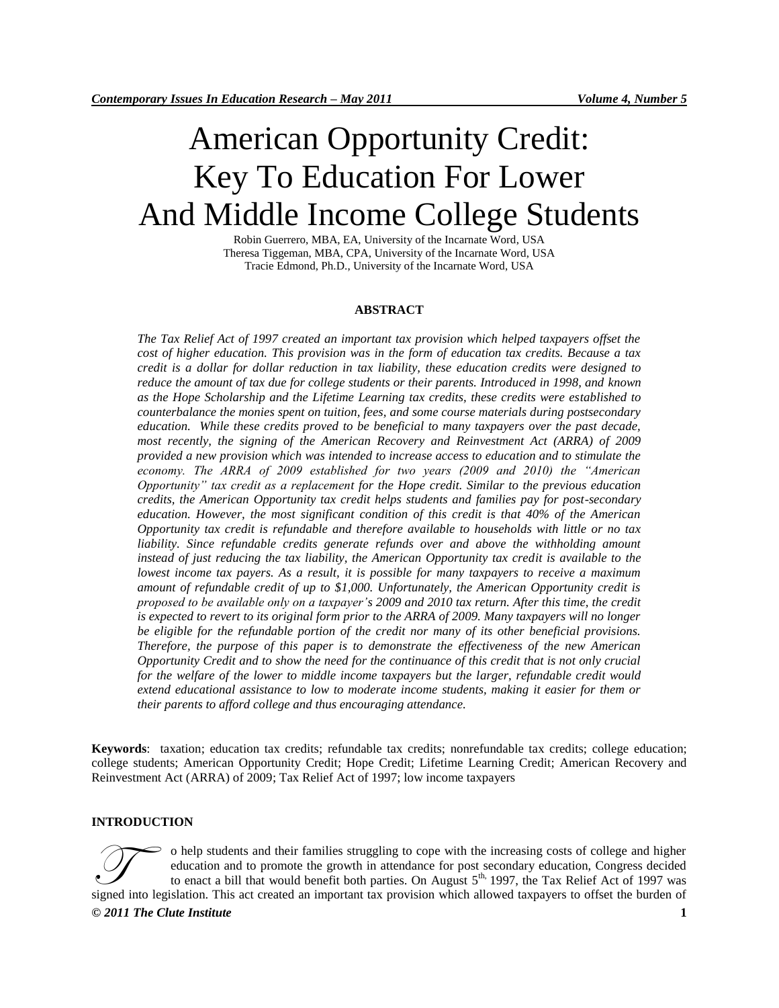# American Opportunity Credit: Key To Education For Lower And Middle Income College Students

Robin Guerrero, MBA, EA, University of the Incarnate Word, USA Theresa Tiggeman, MBA, CPA, University of the Incarnate Word, USA Tracie Edmond, Ph.D., University of the Incarnate Word, USA

#### **ABSTRACT**

*The Tax Relief Act of 1997 created an important tax provision which helped taxpayers offset the cost of higher education. This provision was in the form of education tax credits. Because a tax credit is a dollar for dollar reduction in tax liability, these education credits were designed to reduce the amount of tax due for college students or their parents. Introduced in 1998, and known as the Hope Scholarship and the Lifetime Learning tax credits, these credits were established to counterbalance the monies spent on tuition, fees, and some course materials during postsecondary education. While these credits proved to be beneficial to many taxpayers over the past decade, most recently, the signing of the American Recovery and Reinvestment Act (ARRA) of 2009 provided a new provision which was intended to increase access to education and to stimulate the economy. The ARRA of 2009 established for two years (2009 and 2010) the "American Opportunity" tax credit as a replacement for the Hope credit. Similar to the previous education credits, the American Opportunity tax credit helps students and families pay for post-secondary education. However, the most significant condition of this credit is that 40% of the American Opportunity tax credit is refundable and therefore available to households with little or no tax*  liability. Since refundable credits generate refunds over and above the withholding amount *instead of just reducing the tax liability, the American Opportunity tax credit is available to the lowest income tax payers. As a result, it is possible for many taxpayers to receive a maximum amount of refundable credit of up to \$1,000. Unfortunately, the American Opportunity credit is proposed to be available only on a taxpayer's 2009 and 2010 tax return. After this time, the credit is expected to revert to its original form prior to the ARRA of 2009. Many taxpayers will no longer be eligible for the refundable portion of the credit nor many of its other beneficial provisions. Therefore, the purpose of this paper is to demonstrate the effectiveness of the new American Opportunity Credit and to show the need for the continuance of this credit that is not only crucial for the welfare of the lower to middle income taxpayers but the larger, refundable credit would extend educational assistance to low to moderate income students, making it easier for them or their parents to afford college and thus encouraging attendance.*

**Keywords**: taxation; education tax credits; refundable tax credits; nonrefundable tax credits; college education; college students; American Opportunity Credit; Hope Credit; Lifetime Learning Credit; American Recovery and Reinvestment Act (ARRA) of 2009; Tax Relief Act of 1997; low income taxpayers

#### **INTRODUCTION**

o help students and their families struggling to cope with the increasing costs of college and higher education and to promote the growth in attendance for post secondary education, Congress decided to enact a bill that would benefit both parties. On August 5<sup>th,</sup> 1997, the Tax Relief Act of 1997 was o help students and their families struggling to cope with the increasing costs of college and higher education and to promote the growth in attendance for post secondary education, Congress decided to enact a bill that w

*© 2011 The Clute Institute* **1**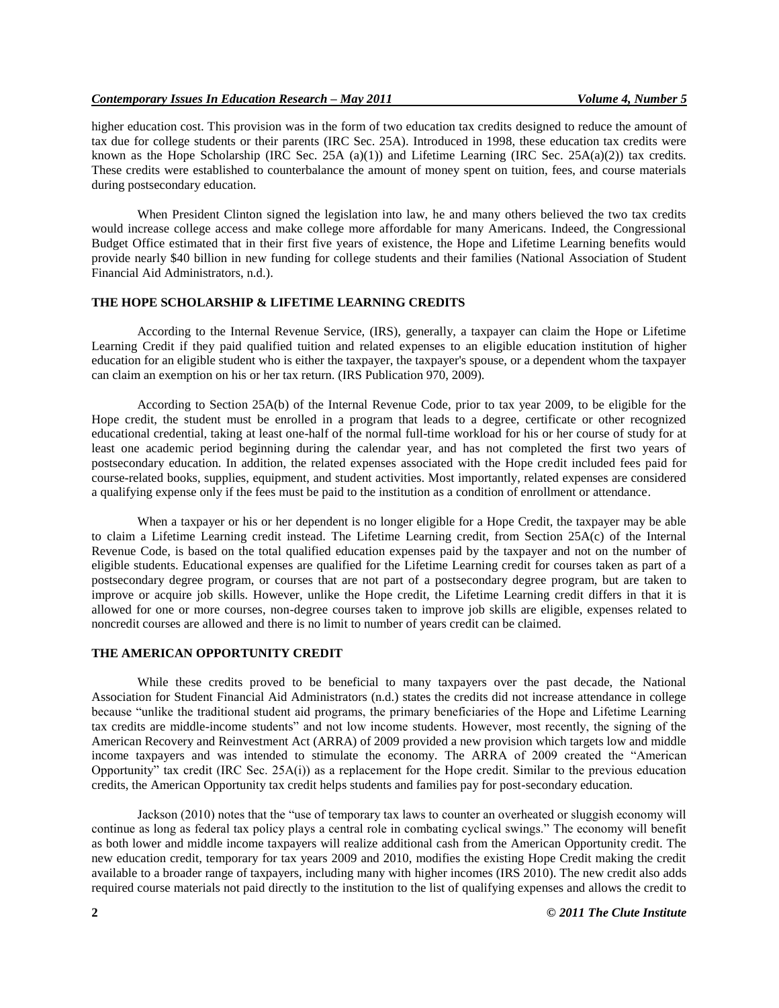higher education cost. This provision was in the form of two education tax credits designed to reduce the amount of tax due for college students or their parents (IRC Sec. 25A). Introduced in 1998, these education tax credits were known as the Hope Scholarship (IRC Sec. 25A (a)(1)) and Lifetime Learning (IRC Sec. 25A(a)(2)) tax credits. These credits were established to counterbalance the amount of money spent on tuition, fees, and course materials during postsecondary education.

When President Clinton signed the legislation into law, he and many others believed the two tax credits would increase college access and make college more affordable for many Americans. Indeed, the Congressional Budget Office estimated that in their first five years of existence, the Hope and Lifetime Learning benefits would provide nearly \$40 billion in new funding for college students and their families (National Association of Student Financial Aid Administrators, n.d.).

#### **THE HOPE SCHOLARSHIP & LIFETIME LEARNING CREDITS**

According to the Internal Revenue Service, (IRS), generally, a taxpayer can claim the Hope or Lifetime Learning Credit if they paid qualified tuition and related expenses to an eligible education institution of higher education for an eligible student who is either the taxpayer, the taxpayer's spouse, or a dependent whom the taxpayer can claim an exemption on his or her tax return. (IRS Publication 970, 2009).

According to Section 25A(b) of the Internal Revenue Code, prior to tax year 2009, to be eligible for the Hope credit, the student must be enrolled in a program that leads to a degree, certificate or other recognized educational credential, taking at least one-half of the normal full-time workload for his or her course of study for at least one academic period beginning during the calendar year, and has not completed the first two years of postsecondary education. In addition, the related expenses associated with the Hope credit included fees paid for course-related books, supplies, equipment, and student activities. Most importantly, related expenses are considered a qualifying expense only if the fees must be paid to the institution as a condition of enrollment or attendance.

When a taxpayer or his or her dependent is no longer eligible for a Hope Credit, the taxpayer may be able to claim a Lifetime Learning credit instead. The Lifetime Learning credit, from Section 25A(c) of the Internal Revenue Code, is based on the total qualified education expenses paid by the taxpayer and not on the number of eligible students. Educational expenses are qualified for the Lifetime Learning credit for courses taken as part of a postsecondary degree program, or courses that are not part of a postsecondary degree program, but are taken to improve or acquire job skills. However, unlike the Hope credit, the Lifetime Learning credit differs in that it is allowed for one or more courses, non-degree courses taken to improve job skills are eligible, expenses related to noncredit courses are allowed and there is no limit to number of years credit can be claimed.

#### **THE AMERICAN OPPORTUNITY CREDIT**

While these credits proved to be beneficial to many taxpayers over the past decade, the National Association for Student Financial Aid Administrators (n.d.) states the credits did not increase attendance in college because "unlike the traditional student aid programs, the primary beneficiaries of the Hope and Lifetime Learning tax credits are middle-income students" and not low income students. However, most recently, the signing of the American Recovery and Reinvestment Act (ARRA) of 2009 provided a new provision which targets low and middle income taxpayers and was intended to stimulate the economy. The ARRA of 2009 created the "American Opportunity" tax credit (IRC Sec.  $25A(i)$ ) as a replacement for the Hope credit. Similar to the previous education credits, the American Opportunity tax credit helps students and families pay for post-secondary education.

Jackson (2010) notes that the "use of temporary tax laws to counter an overheated or sluggish economy will continue as long as federal tax policy plays a central role in combating cyclical swings." The economy will benefit as both lower and middle income taxpayers will realize additional cash from the American Opportunity credit. The new education credit, temporary for tax years 2009 and 2010, modifies the existing Hope Credit making the credit available to a broader range of taxpayers, including many with higher incomes (IRS 2010). The new credit also adds required course materials not paid directly to the institution to the list of qualifying expenses and allows the credit to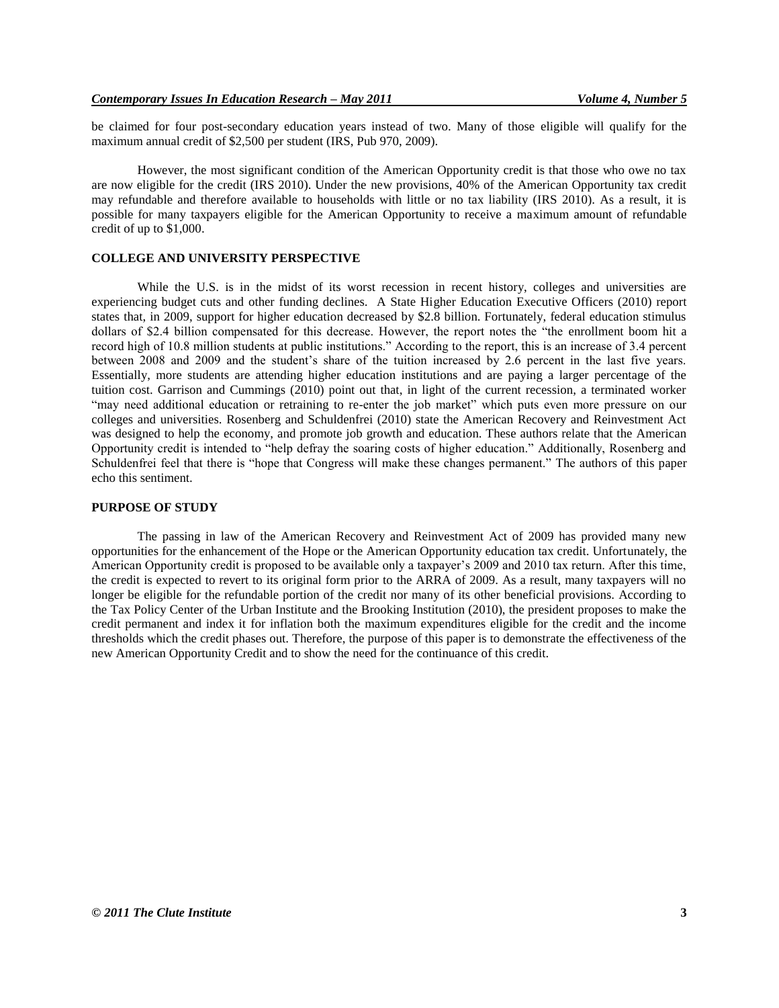be claimed for four post-secondary education years instead of two. Many of those eligible will qualify for the maximum annual credit of \$2,500 per student (IRS, Pub 970, 2009).

However, the most significant condition of the American Opportunity credit is that those who owe no tax are now eligible for the credit (IRS 2010). Under the new provisions, 40% of the American Opportunity tax credit may refundable and therefore available to households with little or no tax liability (IRS 2010). As a result, it is possible for many taxpayers eligible for the American Opportunity to receive a maximum amount of refundable credit of up to \$1,000.

#### **COLLEGE AND UNIVERSITY PERSPECTIVE**

While the U.S. is in the midst of its worst recession in recent history, colleges and universities are experiencing budget cuts and other funding declines. A State Higher Education Executive Officers (2010) report states that, in 2009, support for higher education decreased by \$2.8 billion. Fortunately, federal education stimulus dollars of \$2.4 billion compensated for this decrease. However, the report notes the "the enrollment boom hit a record high of 10.8 million students at public institutions." According to the report, this is an increase of 3.4 percent between 2008 and 2009 and the student's share of the tuition increased by 2.6 percent in the last five years. Essentially, more students are attending higher education institutions and are paying a larger percentage of the tuition cost. Garrison and Cummings (2010) point out that, in light of the current recession, a terminated worker "may need additional education or retraining to re-enter the job market" which puts even more pressure on our colleges and universities. Rosenberg and Schuldenfrei (2010) state the American Recovery and Reinvestment Act was designed to help the economy, and promote job growth and education. These authors relate that the American Opportunity credit is intended to "help defray the soaring costs of higher education." Additionally, Rosenberg and Schuldenfrei feel that there is "hope that Congress will make these changes permanent." The authors of this paper echo this sentiment.

#### **PURPOSE OF STUDY**

The passing in law of the American Recovery and Reinvestment Act of 2009 has provided many new opportunities for the enhancement of the Hope or the American Opportunity education tax credit. Unfortunately, the American Opportunity credit is proposed to be available only a taxpayer's 2009 and 2010 tax return. After this time, the credit is expected to revert to its original form prior to the ARRA of 2009. As a result, many taxpayers will no longer be eligible for the refundable portion of the credit nor many of its other beneficial provisions. According to the Tax Policy Center of the Urban Institute and the Brooking Institution (2010), the president proposes to make the credit permanent and index it for inflation both the maximum expenditures eligible for the credit and the income thresholds which the credit phases out. Therefore, the purpose of this paper is to demonstrate the effectiveness of the new American Opportunity Credit and to show the need for the continuance of this credit.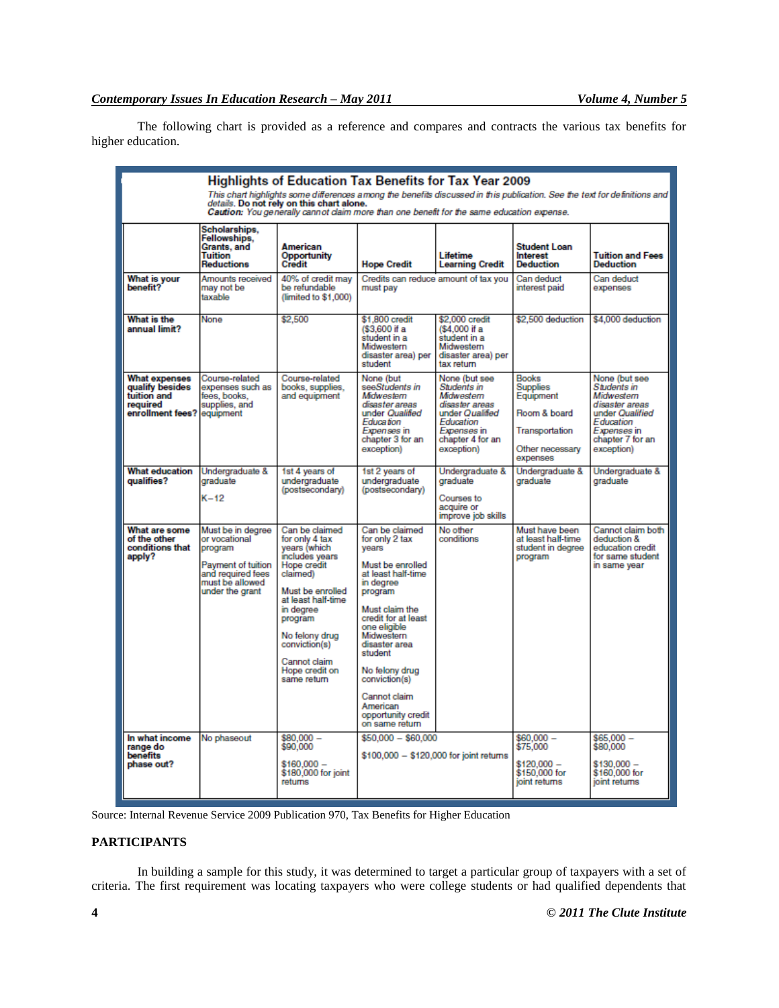The following chart is provided as a reference and compares and contracts the various tax benefits for higher education.

| Highlights of Education Tax Benefits for Tax Year 2009<br>This chart highlights some differences among the benefits discussed in this publication. See the text for definitions and<br>details. Do not rely on this chart alone.<br>Caution: You generally cannot claim more than one benefit for the same education expense. |                                                                                                                                |                                                                                                                                                                                                                                                     |                                                                                                                                                                                                                                                                                                                       |                                                                                                                                               |                                                                                                               |                                                                                                                                               |
|-------------------------------------------------------------------------------------------------------------------------------------------------------------------------------------------------------------------------------------------------------------------------------------------------------------------------------|--------------------------------------------------------------------------------------------------------------------------------|-----------------------------------------------------------------------------------------------------------------------------------------------------------------------------------------------------------------------------------------------------|-----------------------------------------------------------------------------------------------------------------------------------------------------------------------------------------------------------------------------------------------------------------------------------------------------------------------|-----------------------------------------------------------------------------------------------------------------------------------------------|---------------------------------------------------------------------------------------------------------------|-----------------------------------------------------------------------------------------------------------------------------------------------|
|                                                                                                                                                                                                                                                                                                                               | Scholarships,<br>Fellowships,<br>Grants, and<br>Tuition<br><b>Reductions</b>                                                   | American<br>Opportunity<br>Credit                                                                                                                                                                                                                   | <b>Hope Credit</b>                                                                                                                                                                                                                                                                                                    | Lifetime<br><b>Learning Credit</b>                                                                                                            | <b>Student Loan</b><br><b>Interest</b><br><b>Deduction</b>                                                    | <b>Tuition and Fees</b><br>Deduction                                                                                                          |
| What is your<br>benefit?                                                                                                                                                                                                                                                                                                      | Amounts received<br>may not be<br>taxable                                                                                      | 40% of credit may<br>be refundable<br>(limited to \$1,000)                                                                                                                                                                                          | Credits can reduce amount of tax you<br>must pay                                                                                                                                                                                                                                                                      |                                                                                                                                               | Can deduct<br>interest paid                                                                                   | Can deduct<br>expenses                                                                                                                        |
| What is the<br>annual limit?                                                                                                                                                                                                                                                                                                  | None                                                                                                                           | \$2,500                                                                                                                                                                                                                                             | \$1,800 credit<br>(\$3,600 if a<br>student in a<br>Midwestern<br>disaster area) per<br>student                                                                                                                                                                                                                        | \$2,000 credit<br>(\$4,000 if a<br>student in a<br>Midwestern<br>disaster area) per<br>tax return                                             | \$2,500 deduction                                                                                             | \$4,000 deduction                                                                                                                             |
| What expenses<br>qualify besides<br>tuition and<br>required<br>enrollment fees?                                                                                                                                                                                                                                               | Course-related<br>expenses such as<br>fees, books,<br>supplies, and<br>equipment                                               | Course-related<br>books, supplies,<br>and equipment                                                                                                                                                                                                 | None (but<br>seeStudents in<br>Midwestern<br>disaster areas<br>under Qualified<br>Education<br>Expenses in<br>chapter 3 for an<br>exception)                                                                                                                                                                          | None (but see<br>Students in<br>Midwestern<br>disaster areas<br>under Qualified<br>Education<br>Expenses in<br>chapter 4 for an<br>exception) | <b>Rooks</b><br><b>Supplies</b><br>Equipment<br>Room & board<br>Transportation<br>Other necessary<br>expenses | None (but see<br>Students in<br>Midwestern<br>disaster areas<br>under Qualified<br>Education<br>Expenses in<br>chapter 7 for an<br>exception) |
| <b>What education</b><br>qualifies?                                                                                                                                                                                                                                                                                           | Undergraduate &<br>graduate<br>$K-12$                                                                                          | 1st 4 years of<br>undergraduate<br>(postsecondary)                                                                                                                                                                                                  | 1st 2 years of<br>undergraduate<br>(postsecondary)                                                                                                                                                                                                                                                                    | Undergraduate &<br>graduate<br>Courses to<br>acquire or<br>improve job skills                                                                 | Undergraduate &<br>graduate                                                                                   | Undergraduate &<br>graduate                                                                                                                   |
| What are some<br>of the other<br>conditions that<br>apply?                                                                                                                                                                                                                                                                    | Must be in dearee<br>or vocational<br>program<br>Payment of tuition<br>and required fees<br>must be allowed<br>under the grant | Can be claimed<br>for only 4 tax<br>years (which<br>includes years<br>Hope credit<br>claimed)<br>Must be enrolled<br>at least half-time<br>in degree<br>program<br>No felony drug<br>conviction(s)<br>Cannot claim<br>Hope credit on<br>same return | Can be claimed<br>for only 2 tax<br>vears<br>Must be enrolled<br>at least half-time<br>in degree<br>program<br>Must claim the<br>credit for at least<br>one eligible<br>Midwestern<br>disaster area<br>student<br>No felony drug<br>conviction(s)<br>Cannot claim<br>American<br>opportunity credit<br>on same return | No other<br>conditions                                                                                                                        | Must have been<br>at least half-time<br>student in degree<br>program                                          | Cannot claim both<br>deduction &<br>education credit<br>for same student<br>in same year                                                      |
| In what income<br>range do<br>benefits<br>phase out?                                                                                                                                                                                                                                                                          | No phaseout                                                                                                                    | \$80,000 -<br>\$90,000<br>\$160,000 -<br>\$180,000 for joint<br>returns                                                                                                                                                                             | \$50,000 - \$60,000<br>\$100,000 - \$120,000 for joint returns                                                                                                                                                                                                                                                        |                                                                                                                                               | $$60,000 -$<br>\$75,000<br>$$120,000 -$<br>\$150,000 for<br>joint returns                                     | $$65,000-$<br>\$80,000<br>\$130,000 -<br>\$160,000 for<br>ioint returns                                                                       |

Source: Internal Revenue Service 2009 Publication 970, Tax Benefits for Higher Education

# **PARTICIPANTS**

In building a sample for this study, it was determined to target a particular group of taxpayers with a set of criteria. The first requirement was locating taxpayers who were college students or had qualified dependents that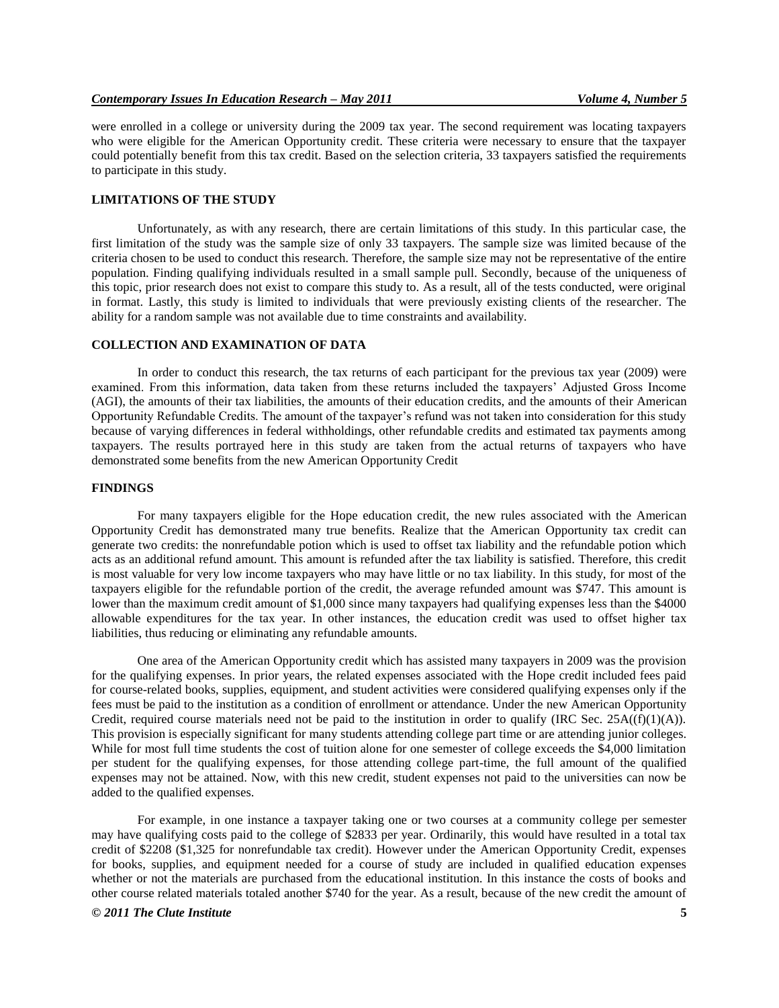were enrolled in a college or university during the 2009 tax year. The second requirement was locating taxpayers who were eligible for the American Opportunity credit. These criteria were necessary to ensure that the taxpayer could potentially benefit from this tax credit. Based on the selection criteria, 33 taxpayers satisfied the requirements to participate in this study.

## **LIMITATIONS OF THE STUDY**

Unfortunately, as with any research, there are certain limitations of this study. In this particular case, the first limitation of the study was the sample size of only 33 taxpayers. The sample size was limited because of the criteria chosen to be used to conduct this research. Therefore, the sample size may not be representative of the entire population. Finding qualifying individuals resulted in a small sample pull. Secondly, because of the uniqueness of this topic, prior research does not exist to compare this study to. As a result, all of the tests conducted, were original in format. Lastly, this study is limited to individuals that were previously existing clients of the researcher. The ability for a random sample was not available due to time constraints and availability.

#### **COLLECTION AND EXAMINATION OF DATA**

In order to conduct this research, the tax returns of each participant for the previous tax year (2009) were examined. From this information, data taken from these returns included the taxpayers' Adjusted Gross Income (AGI), the amounts of their tax liabilities, the amounts of their education credits, and the amounts of their American Opportunity Refundable Credits. The amount of the taxpayer's refund was not taken into consideration for this study because of varying differences in federal withholdings, other refundable credits and estimated tax payments among taxpayers. The results portrayed here in this study are taken from the actual returns of taxpayers who have demonstrated some benefits from the new American Opportunity Credit

## **FINDINGS**

For many taxpayers eligible for the Hope education credit, the new rules associated with the American Opportunity Credit has demonstrated many true benefits. Realize that the American Opportunity tax credit can generate two credits: the nonrefundable potion which is used to offset tax liability and the refundable potion which acts as an additional refund amount. This amount is refunded after the tax liability is satisfied. Therefore, this credit is most valuable for very low income taxpayers who may have little or no tax liability. In this study, for most of the taxpayers eligible for the refundable portion of the credit, the average refunded amount was \$747. This amount is lower than the maximum credit amount of \$1,000 since many taxpayers had qualifying expenses less than the \$4000 allowable expenditures for the tax year. In other instances, the education credit was used to offset higher tax liabilities, thus reducing or eliminating any refundable amounts.

One area of the American Opportunity credit which has assisted many taxpayers in 2009 was the provision for the qualifying expenses. In prior years, the related expenses associated with the Hope credit included fees paid for course-related books, supplies, equipment, and student activities were considered qualifying expenses only if the fees must be paid to the institution as a condition of enrollment or attendance. Under the new American Opportunity Credit, required course materials need not be paid to the institution in order to qualify (IRC Sec.  $25A((f)(1)(A))$ . This provision is especially significant for many students attending college part time or are attending junior colleges. While for most full time students the cost of tuition alone for one semester of college exceeds the \$4,000 limitation per student for the qualifying expenses, for those attending college part-time, the full amount of the qualified expenses may not be attained. Now, with this new credit, student expenses not paid to the universities can now be added to the qualified expenses.

For example, in one instance a taxpayer taking one or two courses at a community college per semester may have qualifying costs paid to the college of \$2833 per year. Ordinarily, this would have resulted in a total tax credit of \$2208 (\$1,325 for nonrefundable tax credit). However under the American Opportunity Credit, expenses for books, supplies, and equipment needed for a course of study are included in qualified education expenses whether or not the materials are purchased from the educational institution. In this instance the costs of books and other course related materials totaled another \$740 for the year. As a result, because of the new credit the amount of

#### *© 2011 The Clute Institute* **5**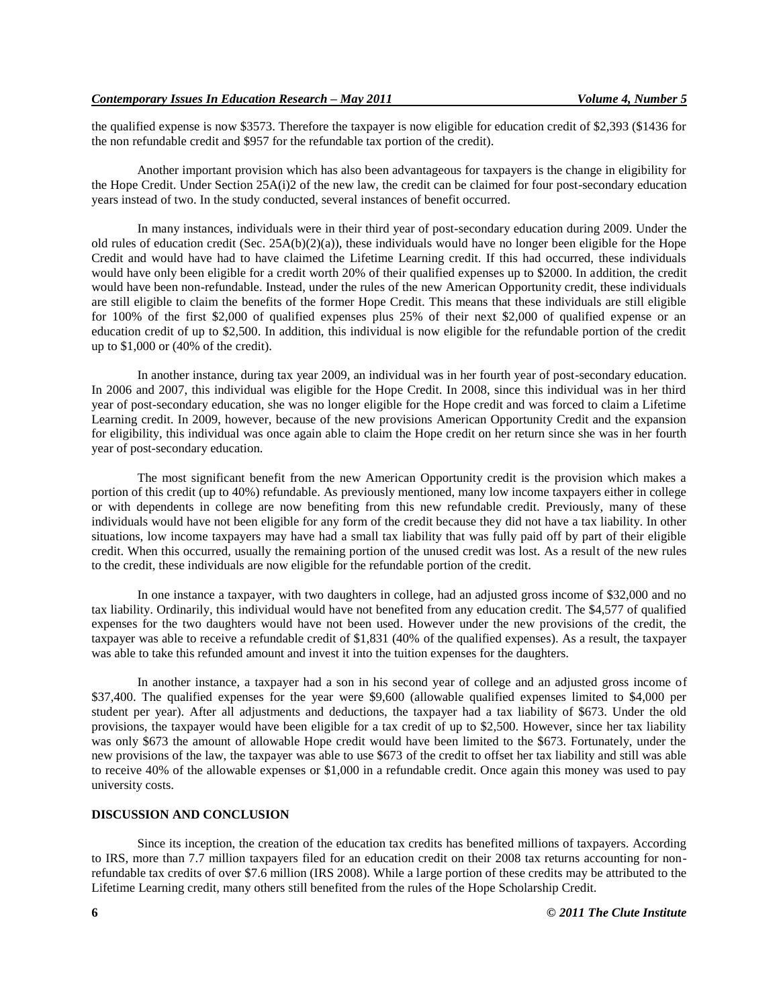the qualified expense is now \$3573. Therefore the taxpayer is now eligible for education credit of \$2,393 (\$1436 for the non refundable credit and \$957 for the refundable tax portion of the credit).

Another important provision which has also been advantageous for taxpayers is the change in eligibility for the Hope Credit. Under Section 25A(i)2 of the new law, the credit can be claimed for four post-secondary education years instead of two. In the study conducted, several instances of benefit occurred.

In many instances, individuals were in their third year of post-secondary education during 2009. Under the old rules of education credit (Sec.  $25A(b)(2)(a)$ ), these individuals would have no longer been eligible for the Hope Credit and would have had to have claimed the Lifetime Learning credit. If this had occurred, these individuals would have only been eligible for a credit worth 20% of their qualified expenses up to \$2000. In addition, the credit would have been non-refundable. Instead, under the rules of the new American Opportunity credit, these individuals are still eligible to claim the benefits of the former Hope Credit. This means that these individuals are still eligible for 100% of the first \$2,000 of qualified expenses plus 25% of their next \$2,000 of qualified expense or an education credit of up to \$2,500. In addition, this individual is now eligible for the refundable portion of the credit up to \$1,000 or (40% of the credit).

In another instance, during tax year 2009, an individual was in her fourth year of post-secondary education. In 2006 and 2007, this individual was eligible for the Hope Credit. In 2008, since this individual was in her third year of post-secondary education, she was no longer eligible for the Hope credit and was forced to claim a Lifetime Learning credit. In 2009, however, because of the new provisions American Opportunity Credit and the expansion for eligibility, this individual was once again able to claim the Hope credit on her return since she was in her fourth year of post-secondary education.

The most significant benefit from the new American Opportunity credit is the provision which makes a portion of this credit (up to 40%) refundable. As previously mentioned, many low income taxpayers either in college or with dependents in college are now benefiting from this new refundable credit. Previously, many of these individuals would have not been eligible for any form of the credit because they did not have a tax liability. In other situations, low income taxpayers may have had a small tax liability that was fully paid off by part of their eligible credit. When this occurred, usually the remaining portion of the unused credit was lost. As a result of the new rules to the credit, these individuals are now eligible for the refundable portion of the credit.

In one instance a taxpayer, with two daughters in college, had an adjusted gross income of \$32,000 and no tax liability. Ordinarily, this individual would have not benefited from any education credit. The \$4,577 of qualified expenses for the two daughters would have not been used. However under the new provisions of the credit, the taxpayer was able to receive a refundable credit of \$1,831 (40% of the qualified expenses). As a result, the taxpayer was able to take this refunded amount and invest it into the tuition expenses for the daughters.

In another instance, a taxpayer had a son in his second year of college and an adjusted gross income of \$37,400. The qualified expenses for the year were \$9,600 (allowable qualified expenses limited to \$4,000 per student per year). After all adjustments and deductions, the taxpayer had a tax liability of \$673. Under the old provisions, the taxpayer would have been eligible for a tax credit of up to \$2,500. However, since her tax liability was only \$673 the amount of allowable Hope credit would have been limited to the \$673. Fortunately, under the new provisions of the law, the taxpayer was able to use \$673 of the credit to offset her tax liability and still was able to receive 40% of the allowable expenses or \$1,000 in a refundable credit. Once again this money was used to pay university costs.

#### **DISCUSSION AND CONCLUSION**

Since its inception, the creation of the education tax credits has benefited millions of taxpayers. According to IRS, more than 7.7 million taxpayers filed for an education credit on their 2008 tax returns accounting for nonrefundable tax credits of over \$7.6 million (IRS 2008). While a large portion of these credits may be attributed to the Lifetime Learning credit, many others still benefited from the rules of the Hope Scholarship Credit.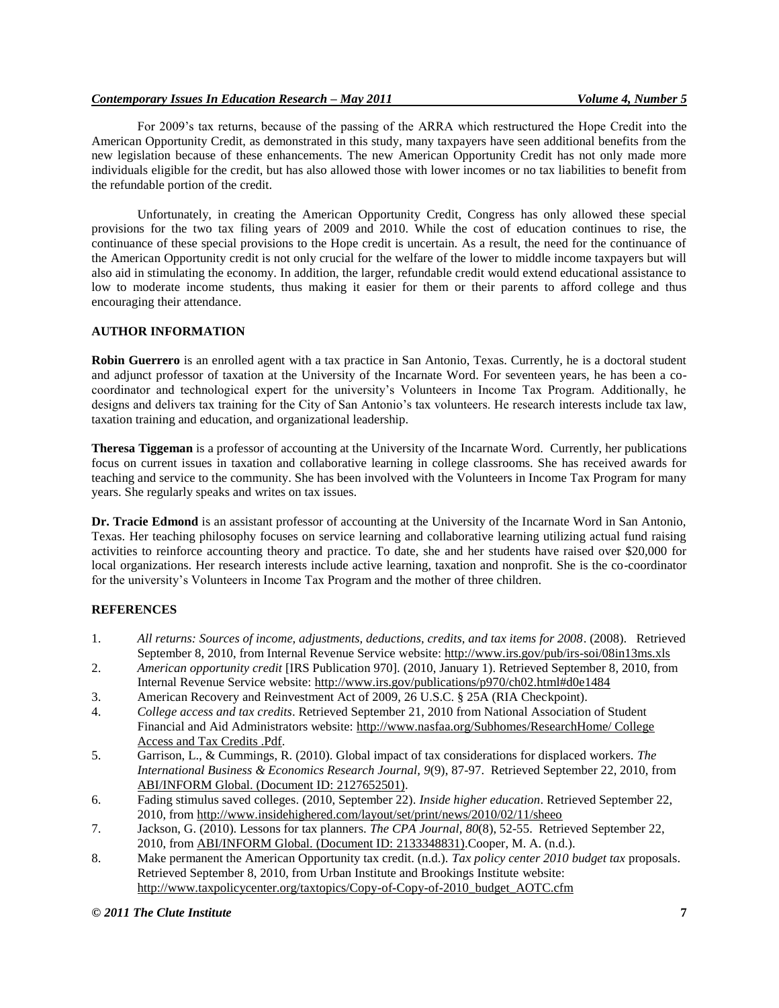## *Contemporary Issues In Education Research – May 2011 Volume 4, Number 5*

For 2009's tax returns, because of the passing of the ARRA which restructured the Hope Credit into the American Opportunity Credit, as demonstrated in this study, many taxpayers have seen additional benefits from the new legislation because of these enhancements. The new American Opportunity Credit has not only made more individuals eligible for the credit, but has also allowed those with lower incomes or no tax liabilities to benefit from the refundable portion of the credit.

Unfortunately, in creating the American Opportunity Credit, Congress has only allowed these special provisions for the two tax filing years of 2009 and 2010. While the cost of education continues to rise, the continuance of these special provisions to the Hope credit is uncertain. As a result, the need for the continuance of the American Opportunity credit is not only crucial for the welfare of the lower to middle income taxpayers but will also aid in stimulating the economy. In addition, the larger, refundable credit would extend educational assistance to low to moderate income students, thus making it easier for them or their parents to afford college and thus encouraging their attendance.

## **AUTHOR INFORMATION**

**Robin Guerrero** is an enrolled agent with a tax practice in San Antonio, Texas. Currently, he is a doctoral student and adjunct professor of taxation at the University of the Incarnate Word. For seventeen years, he has been a cocoordinator and technological expert for the university's Volunteers in Income Tax Program. Additionally, he designs and delivers tax training for the City of San Antonio's tax volunteers. He research interests include tax law, taxation training and education, and organizational leadership.

**Theresa Tiggeman** is a professor of accounting at the University of the Incarnate Word. Currently, her publications focus on current issues in taxation and collaborative learning in college classrooms. She has received awards for teaching and service to the community. She has been involved with the Volunteers in Income Tax Program for many years. She regularly speaks and writes on tax issues.

**Dr. Tracie Edmond** is an assistant professor of accounting at the University of the Incarnate Word in San Antonio, Texas. Her teaching philosophy focuses on service learning and collaborative learning utilizing actual fund raising activities to reinforce accounting theory and practice. To date, she and her students have raised over \$20,000 for local organizations. Her research interests include active learning, taxation and nonprofit. She is the co-coordinator for the university's Volunteers in Income Tax Program and the mother of three children.

# **REFERENCES**

- 1. *All returns: Sources of income, adjustments, deductions, credits, and tax items for 2008*. (2008). Retrieved September 8, 2010, from Internal Revenue Service website: http://www.irs.gov/pub/irs-soi/08in13ms.xls
- 2. *American opportunity credit* [IRS Publication 970]. (2010, January 1). Retrieved September 8, 2010, from Internal Revenue Service website: http://www.irs.gov/publications/p970/ch02.html#d0e1484
- 3. American Recovery and Reinvestment Act of 2009, 26 U.S.C. § 25A (RIA Checkpoint).
- 4. *College access and tax credits*. Retrieved September 21, 2010 from National Association of Student Financial and Aid Administrators website: http://www.nasfaa.org/Subhomes/ResearchHome/ College Access and Tax Credits .Pdf.
- 5. Garrison, L., & Cummings, R. (2010). Global impact of tax considerations for displaced workers. *The International Business & Economics Research Journal, 9*(9), 87-97. Retrieved September 22, 2010, from ABI/INFORM Global. (Document ID: 2127652501).
- 6. Fading stimulus saved colleges. (2010, September 22). *Inside higher education*. Retrieved September 22, 2010, from http://www.insidehighered.com/layout/set/print/news/2010/02/11/sheeo
- 7. Jackson, G. (2010). Lessons for tax planners. *The CPA Journal, 80*(8), 52-55. Retrieved September 22, 2010, from ABI/INFORM Global. (Document ID: 2133348831).Cooper, M. A. (n.d.).
- 8. Make permanent the American Opportunity tax credit. (n.d.). *Tax policy center 2010 budget tax* proposals. Retrieved September 8, 2010, from Urban Institute and Brookings Institute website: http://www.taxpolicycenter.org/taxtopics/Copy-of-Copy-of-2010\_budget\_AOTC.cfm

*© 2011 The Clute Institute* **7**